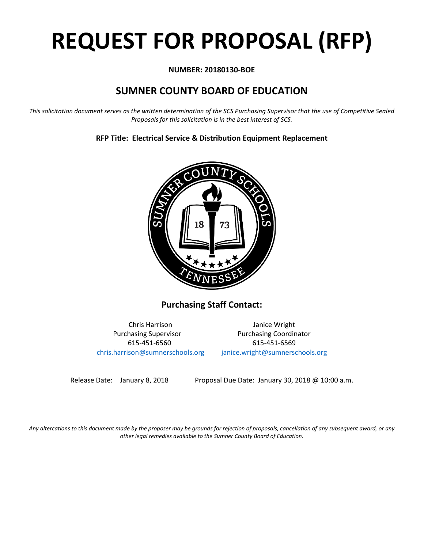# **REQUEST FOR PROPOSAL (RFP)**

# **NUMBER: 20180130-BOE**

# **SUMNER COUNTY BOARD OF EDUCATION**

*This solicitation document serves as the written determination of the SCS Purchasing Supervisor that the use of Competitive Sealed Proposals for this solicitation is in the best interest of SCS.*

# **RFP Title: Electrical Service & Distribution Equipment Replacement**



**Purchasing Staff Contact:**

[chris.harrison@sumnerschools.org](mailto:chris.harrison@sumnerschools.org) [janice.wright@sumnerschools.org](mailto:janice.wright@sumnerschools.org)

Chris Harrison Janice Wright Purchasing Supervisor **Purchasing Coordinator** 615-451-6560 615-451-6569

Release Date: January 8, 2018 Proposal Due Date: January 30, 2018 @ 10:00 a.m.

*Any altercations to this document made by the proposer may be grounds for rejection of proposals, cancellation of any subsequent award, or any other legal remedies available to the Sumner County Board of Education.*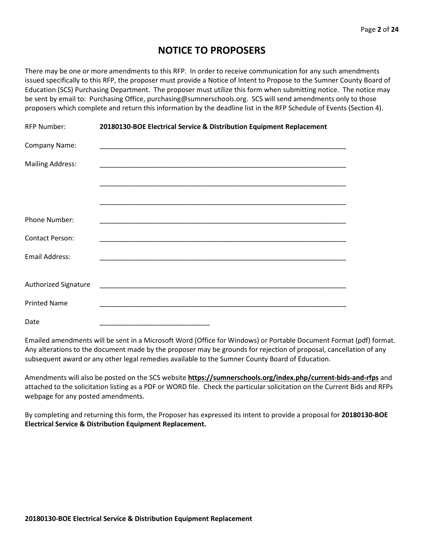# **NOTICE TO PROPOSERS**

There may be one or more amendments to this RFP. In order to receive communication for any such amendments issued specifically to this RFP, the proposer must provide a Notice of Intent to Propose to the Sumner County Board of Education (SCS) Purchasing Department. The proposer must utilize this form when submitting notice. The notice may be sent by email to: Purchasing Office, purchasing@sumnerschools.org. SCS will send amendments only to those proposers which complete and return this information by the deadline list in the RFP Schedule of Events (Section 4).

| <b>RFP Number:</b>          | 20180130-BOE Electrical Service & Distribution Equipment Replacement |  |  |  |  |
|-----------------------------|----------------------------------------------------------------------|--|--|--|--|
| Company Name:               |                                                                      |  |  |  |  |
| <b>Mailing Address:</b>     |                                                                      |  |  |  |  |
|                             |                                                                      |  |  |  |  |
|                             |                                                                      |  |  |  |  |
| Phone Number:               |                                                                      |  |  |  |  |
| <b>Contact Person:</b>      |                                                                      |  |  |  |  |
| Email Address:              |                                                                      |  |  |  |  |
|                             |                                                                      |  |  |  |  |
| <b>Authorized Signature</b> |                                                                      |  |  |  |  |
| <b>Printed Name</b>         |                                                                      |  |  |  |  |
| Date                        |                                                                      |  |  |  |  |

Emailed amendments will be sent in a Microsoft Word (Office for Windows) or Portable Document Format (pdf) format. Any alterations to the document made by the proposer may be grounds for rejection of proposal, cancellation of any subsequent award or any other legal remedies available to the Sumner County Board of Education.

Amendments will also be posted on the SCS website **https://sumnerschools.org/index.php/current-bids-and-rfps** and attached to the solicitation listing as a PDF or WORD file. Check the particular solicitation on the Current Bids and RFPs webpage for any posted amendments.

By completing and returning this form, the Proposer has expressed its intent to provide a proposal for **20180130-BOE Electrical Service & Distribution Equipment Replacement.**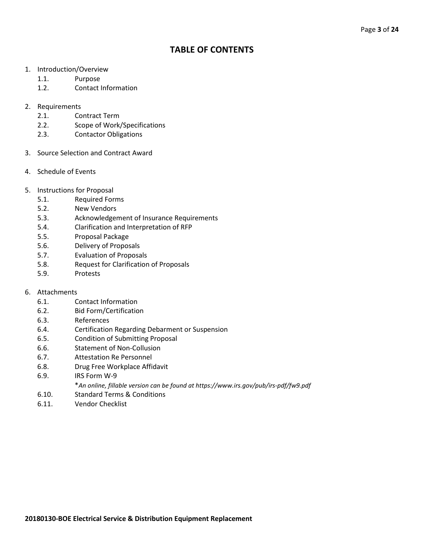# **TABLE OF CONTENTS**

- 1. Introduction/Overview
	- 1.1. Purpose
	- 1.2. Contact Information
- 2. Requirements
	- 2.1. Contract Term
	- 2.2. Scope of Work/Specifications
	- 2.3. Contactor Obligations
- 3. Source Selection and Contract Award
- 4. Schedule of Events
- 5. Instructions for Proposal
	- 5.1. Required Forms
	- 5.2. New Vendors
	- 5.3. Acknowledgement of Insurance Requirements
	- 5.4. Clarification and Interpretation of RFP
	- 5.5. Proposal Package
	- 5.6. Delivery of Proposals
	- 5.7. Evaluation of Proposals
	- 5.8. Request for Clarification of Proposals
	- 5.9. Protests

# 6. Attachments

- 6.1. Contact Information
- 6.2. Bid Form/Certification
- 6.3. References
- 6.4. Certification Regarding Debarment or Suspension
- 6.5. Condition of Submitting Proposal
- 6.6. Statement of Non-Collusion
- 6.7. Attestation Re Personnel
- 6.8. Drug Free Workplace Affidavit
- 6.9. IRS Form W-9
	- \**An online, fillable version can be found at https://www.irs.gov/pub/irs-pdf/fw9.pdf*
- 6.10. Standard Terms & Conditions
- 6.11. Vendor Checklist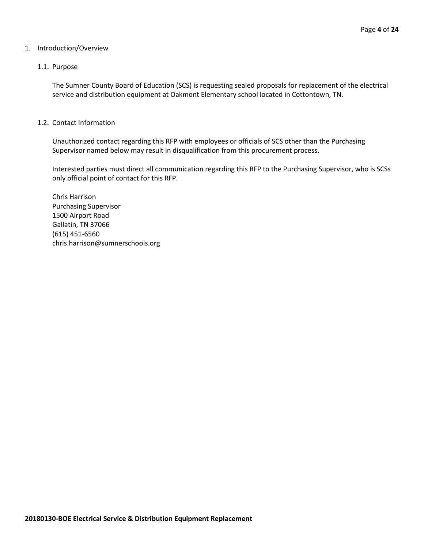#### 1. Introduction/Overview

#### 1.1. Purpose

The Sumner County Board of Education (SCS) is requesting sealed proposals for replacement of the electrical service and distribution equipment at Oakmont Elementary school located in Cottontown, TN.

#### 1.2. Contact Information

Unauthorized contact regarding this RFP with employees or officials of SCS other than the Purchasing Supervisor named below may result in disqualification from this procurement process.

Interested parties must direct all communication regarding this RFP to the Purchasing Supervisor, who is SCSs only official point of contact for this RFP.

Chris Harrison Purchasing Supervisor 1500 Airport Road Gallatin, TN 37066 (615) 451-6560 chris.harrison@sumnerschools.org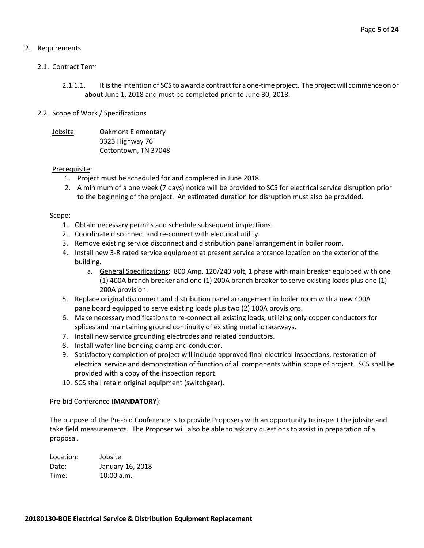# 2. Requirements

#### 2.1. Contract Term

- 2.1.1.1. It is the intention of SCS to award a contract for a one-time project. The project will commence on or about June 1, 2018 and must be completed prior to June 30, 2018.
- 2.2. Scope of Work / Specifications
	- Jobsite: Oakmont Elementary 3323 Highway 76 Cottontown, TN 37048

# Prerequisite:

- 1. Project must be scheduled for and completed in June 2018.
- 2. A minimum of a one week (7 days) notice will be provided to SCS for electrical service disruption prior to the beginning of the project. An estimated duration for disruption must also be provided.

#### Scope:

- 1. Obtain necessary permits and schedule subsequent inspections.
- 2. Coordinate disconnect and re-connect with electrical utility.
- 3. Remove existing service disconnect and distribution panel arrangement in boiler room.
- 4. Install new 3-R rated service equipment at present service entrance location on the exterior of the building.
	- a. General Specifications: 800 Amp, 120/240 volt, 1 phase with main breaker equipped with one (1) 400A branch breaker and one (1) 200A branch breaker to serve existing loads plus one (1) 200A provision.
- 5. Replace original disconnect and distribution panel arrangement in boiler room with a new 400A panelboard equipped to serve existing loads plus two (2) 100A provisions.
- 6. Make necessary modifications to re-connect all existing loads, utilizing only copper conductors for splices and maintaining ground continuity of existing metallic raceways.
- 7. Install new service grounding electrodes and related conductors.
- 8. Install wafer line bonding clamp and conductor.
- 9. Satisfactory completion of project will include approved final electrical inspections, restoration of electrical service and demonstration of function of all components within scope of project. SCS shall be provided with a copy of the inspection report.
- 10. SCS shall retain original equipment (switchgear).

#### Pre-bid Conference (**MANDATORY**):

The purpose of the Pre-bid Conference is to provide Proposers with an opportunity to inspect the jobsite and take field measurements. The Proposer will also be able to ask any questions to assist in preparation of a proposal.

| Location: | Jobsite          |
|-----------|------------------|
| Date:     | January 16, 2018 |
| Time:     | 10:00 a.m.       |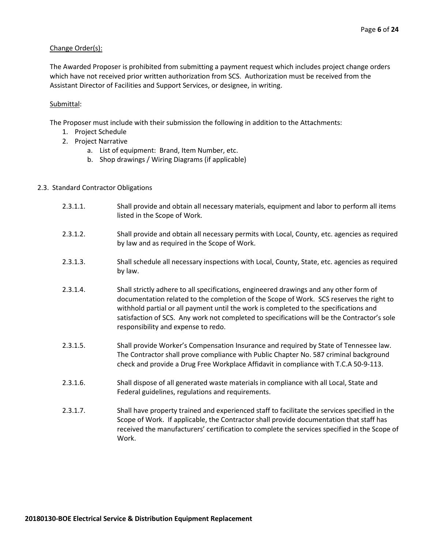#### Change Order(s):

The Awarded Proposer is prohibited from submitting a payment request which includes project change orders which have not received prior written authorization from SCS. Authorization must be received from the Assistant Director of Facilities and Support Services, or designee, in writing.

#### Submittal:

The Proposer must include with their submission the following in addition to the Attachments:

- 1. Project Schedule
- 2. Project Narrative
	- a. List of equipment: Brand, Item Number, etc.
	- b. Shop drawings / Wiring Diagrams (if applicable)

#### 2.3. Standard Contractor Obligations

- 2.3.1.1. Shall provide and obtain all necessary materials, equipment and labor to perform all items listed in the Scope of Work.
- 2.3.1.2. Shall provide and obtain all necessary permits with Local, County, etc. agencies as required by law and as required in the Scope of Work.
- 2.3.1.3. Shall schedule all necessary inspections with Local, County, State, etc. agencies as required by law.
- 2.3.1.4. Shall strictly adhere to all specifications, engineered drawings and any other form of documentation related to the completion of the Scope of Work. SCS reserves the right to withhold partial or all payment until the work is completed to the specifications and satisfaction of SCS. Any work not completed to specifications will be the Contractor's sole responsibility and expense to redo.
- 2.3.1.5. Shall provide Worker's Compensation Insurance and required by State of Tennessee law. The Contractor shall prove compliance with Public Chapter No. 587 criminal background check and provide a Drug Free Workplace Affidavit in compliance with T.C.A 50-9-113.
- 2.3.1.6. Shall dispose of all generated waste materials in compliance with all Local, State and Federal guidelines, regulations and requirements.
- 2.3.1.7. Shall have property trained and experienced staff to facilitate the services specified in the Scope of Work. If applicable, the Contractor shall provide documentation that staff has received the manufacturers' certification to complete the services specified in the Scope of Work.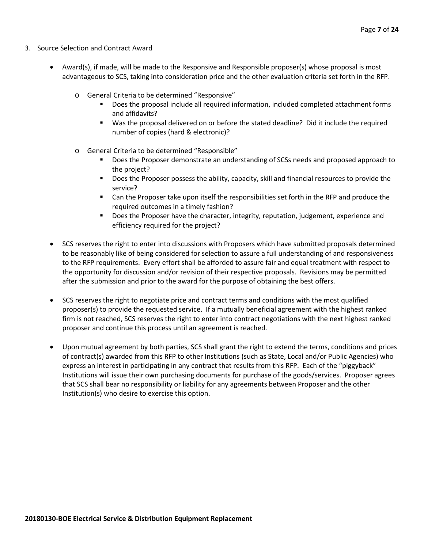- 3. Source Selection and Contract Award
	- Award(s), if made, will be made to the Responsive and Responsible proposer(s) whose proposal is most advantageous to SCS, taking into consideration price and the other evaluation criteria set forth in the RFP.
		- o General Criteria to be determined "Responsive"
			- Does the proposal include all required information, included completed attachment forms and affidavits?
			- Was the proposal delivered on or before the stated deadline? Did it include the required number of copies (hard & electronic)?
		- o General Criteria to be determined "Responsible"
			- Does the Proposer demonstrate an understanding of SCSs needs and proposed approach to the project?
			- **Does the Proposer possess the ability, capacity, skill and financial resources to provide the** service?
			- Can the Proposer take upon itself the responsibilities set forth in the RFP and produce the required outcomes in a timely fashion?
			- **Does the Proposer have the character, integrity, reputation, judgement, experience and** efficiency required for the project?
	- SCS reserves the right to enter into discussions with Proposers which have submitted proposals determined to be reasonably like of being considered for selection to assure a full understanding of and responsiveness to the RFP requirements. Every effort shall be afforded to assure fair and equal treatment with respect to the opportunity for discussion and/or revision of their respective proposals. Revisions may be permitted after the submission and prior to the award for the purpose of obtaining the best offers.
	- SCS reserves the right to negotiate price and contract terms and conditions with the most qualified proposer(s) to provide the requested service. If a mutually beneficial agreement with the highest ranked firm is not reached, SCS reserves the right to enter into contract negotiations with the next highest ranked proposer and continue this process until an agreement is reached.
	- Upon mutual agreement by both parties, SCS shall grant the right to extend the terms, conditions and prices of contract(s) awarded from this RFP to other Institutions (such as State, Local and/or Public Agencies) who express an interest in participating in any contract that results from this RFP. Each of the "piggyback" Institutions will issue their own purchasing documents for purchase of the goods/services. Proposer agrees that SCS shall bear no responsibility or liability for any agreements between Proposer and the other Institution(s) who desire to exercise this option.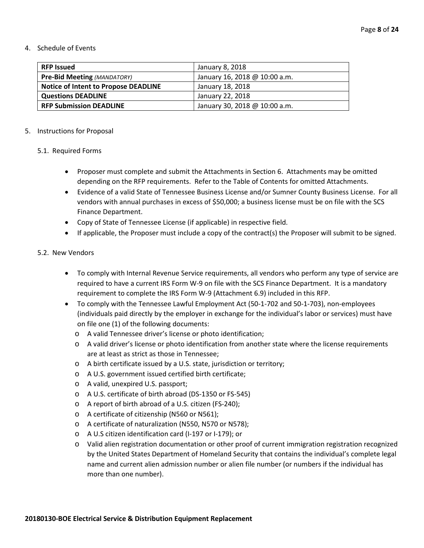#### 4. Schedule of Events

| <b>RFP Issued</b>                           | January 8, 2018               |
|---------------------------------------------|-------------------------------|
| <b>Pre-Bid Meeting (MANDATORY)</b>          | January 16, 2018 @ 10:00 a.m. |
| <b>Notice of Intent to Propose DEADLINE</b> | January 18, 2018              |
| <b>Questions DEADLINE</b>                   | January 22, 2018              |
| <b>RFP Submission DEADLINE</b>              | January 30, 2018 @ 10:00 a.m. |

#### 5. Instructions for Proposal

#### 5.1. Required Forms

- Proposer must complete and submit the Attachments in Section 6. Attachments may be omitted depending on the RFP requirements. Refer to the Table of Contents for omitted Attachments.
- Evidence of a valid State of Tennessee Business License and/or Sumner County Business License. For all vendors with annual purchases in excess of \$50,000; a business license must be on file with the SCS Finance Department.
- Copy of State of Tennessee License (if applicable) in respective field.
- If applicable, the Proposer must include a copy of the contract(s) the Proposer will submit to be signed.

#### 5.2. New Vendors

- To comply with Internal Revenue Service requirements, all vendors who perform any type of service are required to have a current IRS Form W-9 on file with the SCS Finance Department. It is a mandatory requirement to complete the IRS Form W-9 (Attachment 6.9) included in this RFP.
- To comply with the Tennessee Lawful Employment Act (50-1-702 and 50-1-703), non-employees (individuals paid directly by the employer in exchange for the individual's labor or services) must have on file one (1) of the following documents:
	- o A valid Tennessee driver's license or photo identification;
	- o A valid driver's license or photo identification from another state where the license requirements are at least as strict as those in Tennessee;
	- o A birth certificate issued by a U.S. state, jurisdiction or territory;
	- o A U.S. government issued certified birth certificate;
	- o A valid, unexpired U.S. passport;
	- o A U.S. certificate of birth abroad (DS-1350 or FS-545)
	- o A report of birth abroad of a U.S. citizen (FS-240);
	- o A certificate of citizenship (N560 or N561);
	- o A certificate of naturalization (N550, N570 or N578);
	- o A U.S citizen identification card (I-197 or I-179); or
	- o Valid alien registration documentation or other proof of current immigration registration recognized by the United States Department of Homeland Security that contains the individual's complete legal name and current alien admission number or alien file number (or numbers if the individual has more than one number).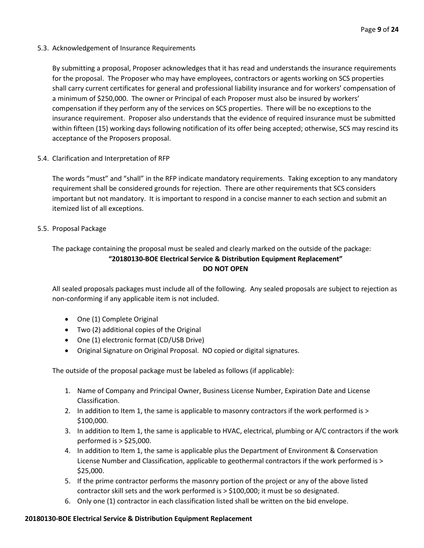5.3. Acknowledgement of Insurance Requirements

By submitting a proposal, Proposer acknowledges that it has read and understands the insurance requirements for the proposal. The Proposer who may have employees, contractors or agents working on SCS properties shall carry current certificates for general and professional liability insurance and for workers' compensation of a minimum of \$250,000. The owner or Principal of each Proposer must also be insured by workers' compensation if they perform any of the services on SCS properties. There will be no exceptions to the insurance requirement. Proposer also understands that the evidence of required insurance must be submitted within fifteen (15) working days following notification of its offer being accepted; otherwise, SCS may rescind its acceptance of the Proposers proposal.

5.4. Clarification and Interpretation of RFP

The words "must" and "shall" in the RFP indicate mandatory requirements. Taking exception to any mandatory requirement shall be considered grounds for rejection. There are other requirements that SCS considers important but not mandatory. It is important to respond in a concise manner to each section and submit an itemized list of all exceptions.

5.5. Proposal Package

# The package containing the proposal must be sealed and clearly marked on the outside of the package: **"20180130-BOE Electrical Service & Distribution Equipment Replacement" DO NOT OPEN**

All sealed proposals packages must include all of the following. Any sealed proposals are subject to rejection as non-conforming if any applicable item is not included.

- One (1) Complete Original
- Two (2) additional copies of the Original
- One (1) electronic format (CD/USB Drive)
- Original Signature on Original Proposal. NO copied or digital signatures.

The outside of the proposal package must be labeled as follows (if applicable):

- 1. Name of Company and Principal Owner, Business License Number, Expiration Date and License Classification.
- 2. In addition to Item 1, the same is applicable to masonry contractors if the work performed is > \$100,000.
- 3. In addition to Item 1, the same is applicable to HVAC, electrical, plumbing or A/C contractors if the work performed is > \$25,000.
- 4. In addition to Item 1, the same is applicable plus the Department of Environment & Conservation License Number and Classification, applicable to geothermal contractors if the work performed is > \$25,000.
- 5. If the prime contractor performs the masonry portion of the project or any of the above listed contractor skill sets and the work performed is > \$100,000; it must be so designated.
- 6. Only one (1) contractor in each classification listed shall be written on the bid envelope.

# **20180130-BOE Electrical Service & Distribution Equipment Replacement**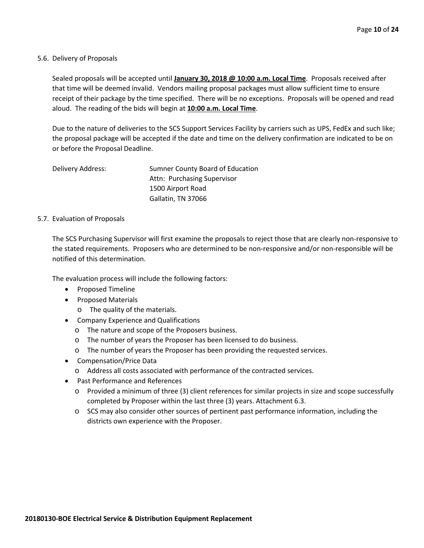#### 5.6. Delivery of Proposals

Sealed proposals will be accepted until **January 30, 2018 @ 10:00 a.m. Local Time**. Proposals received after that time will be deemed invalid. Vendors mailing proposal packages must allow sufficient time to ensure receipt of their package by the time specified. There will be no exceptions. Proposals will be opened and read aloud. The reading of the bids will begin at **10:00 a.m. Local Time**.

Due to the nature of deliveries to the SCS Support Services Facility by carriers such as UPS, FedEx and such like; the proposal package will be accepted if the date and time on the delivery confirmation are indicated to be on or before the Proposal Deadline.

Delivery Address: Sumner County Board of Education Attn: Purchasing Supervisor 1500 Airport Road Gallatin, TN 37066

#### 5.7. Evaluation of Proposals

The SCS Purchasing Supervisor will first examine the proposals to reject those that are clearly non-responsive to the stated requirements. Proposers who are determined to be non-responsive and/or non-responsible will be notified of this determination.

The evaluation process will include the following factors:

- Proposed Timeline
- Proposed Materials
	- o The quality of the materials.
- Company Experience and Qualifications
	- o The nature and scope of the Proposers business.
	- o The number of years the Proposer has been licensed to do business.
	- o The number of years the Proposer has been providing the requested services.
- Compensation/Price Data
	- o Address all costs associated with performance of the contracted services.
- Past Performance and References
	- o Provided a minimum of three (3) client references for similar projects in size and scope successfully completed by Proposer within the last three (3) years. Attachment 6.3.
	- o SCS may also consider other sources of pertinent past performance information, including the districts own experience with the Proposer.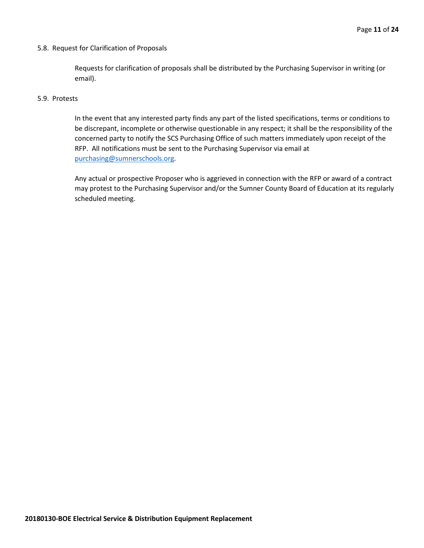#### 5.8. Request for Clarification of Proposals

Requests for clarification of proposals shall be distributed by the Purchasing Supervisor in writing (or email).

#### 5.9. Protests

In the event that any interested party finds any part of the listed specifications, terms or conditions to be discrepant, incomplete or otherwise questionable in any respect; it shall be the responsibility of the concerned party to notify the SCS Purchasing Office of such matters immediately upon receipt of the RFP. All notifications must be sent to the Purchasing Supervisor via email at [purchasing@sumnerschools.org.](mailto:purchasing@sumnerschools.org)

Any actual or prospective Proposer who is aggrieved in connection with the RFP or award of a contract may protest to the Purchasing Supervisor and/or the Sumner County Board of Education at its regularly scheduled meeting.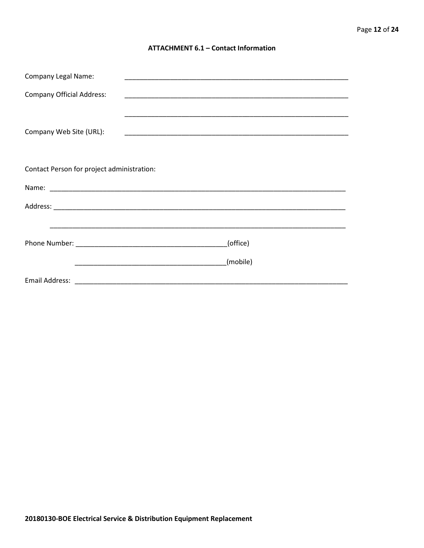#### **ATTACHMENT 6.1 - Contact Information**

| <b>Company Legal Name:</b>                 |          |
|--------------------------------------------|----------|
| <b>Company Official Address:</b>           |          |
|                                            |          |
| Company Web Site (URL):                    |          |
|                                            |          |
| Contact Person for project administration: |          |
|                                            |          |
|                                            |          |
|                                            |          |
|                                            | (office) |
|                                            | (mobile) |
|                                            |          |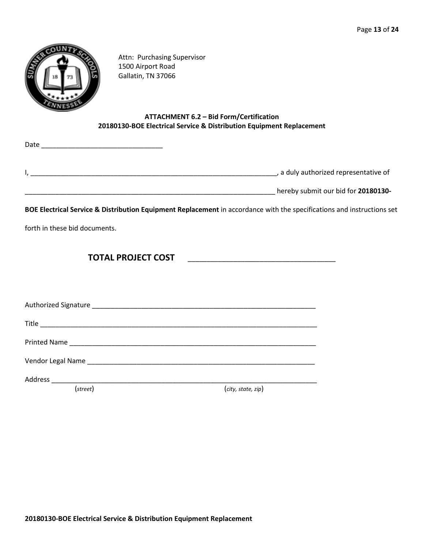

Attn: Purchasing Supervisor 1500 Airport Road Gallatin, TN 37066

# **ATTACHMENT 6.2 – Bid Form/Certification 20180130-BOE Electrical Service & Distribution Equipment Replacement**

| Date |                                       |
|------|---------------------------------------|
|      |                                       |
|      | , a duly authorized representative of |
|      | hereby submit our bid for 20180130-   |

**BOE Electrical Service & Distribution Equipment Replacement** in accordance with the specifications and instructions set

forth in these bid documents.

**TOTAL PROJECT COST** \_\_\_\_\_\_\_\_\_\_\_\_\_\_\_\_\_\_\_\_\_\_\_\_\_\_\_\_\_\_\_\_\_\_\_\_\_\_\_

Authorized Signature \_\_\_\_\_\_\_\_\_\_\_\_\_\_\_\_\_\_\_\_\_\_\_\_\_\_\_\_\_\_\_\_\_\_\_\_\_\_\_\_\_\_\_\_\_\_\_\_\_\_\_\_\_\_\_\_\_\_\_

Title \_\_\_\_\_\_\_\_\_\_\_\_\_\_\_\_\_\_\_\_\_\_\_\_\_\_\_\_\_\_\_\_\_\_\_\_\_\_\_\_\_\_\_\_\_\_\_\_\_\_\_\_\_\_\_\_\_\_\_\_\_\_\_\_\_\_\_\_\_\_\_\_\_

Printed Name \_\_\_\_\_\_\_\_\_\_\_\_\_\_\_\_\_\_\_\_\_\_\_\_\_\_\_\_\_\_\_\_\_\_\_\_\_\_\_\_\_\_\_\_\_\_\_\_\_\_\_\_\_\_\_\_\_\_\_\_\_\_\_\_\_

Vendor Legal Name \_\_\_\_\_\_\_\_\_\_\_\_\_\_\_\_\_\_\_\_\_\_\_\_\_\_\_\_\_\_\_\_\_\_\_\_\_\_\_\_\_\_\_\_\_\_\_\_\_\_\_\_\_\_\_\_\_\_\_\_

Address \_\_\_\_\_\_\_\_\_\_\_\_\_\_\_\_\_\_\_\_\_\_\_\_\_\_\_\_\_\_\_\_\_\_\_\_\_\_\_\_\_\_\_\_\_\_\_\_\_\_\_\_\_\_\_\_\_\_\_\_\_\_\_\_\_\_\_\_\_\_

(*street*) (*city, state, zip*)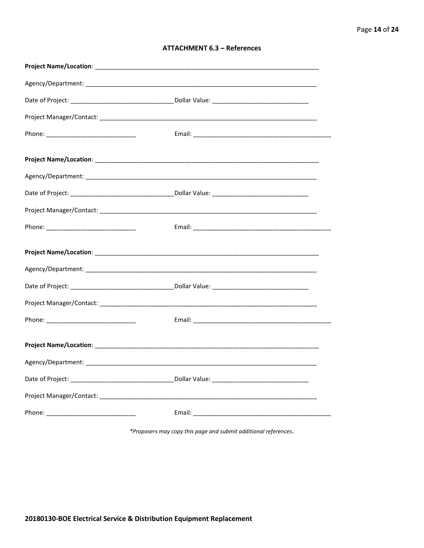| <b>ATTACHMENT 6.3 - References</b> |  |  |
|------------------------------------|--|--|
|------------------------------------|--|--|

\*Proposers may copy this page and submit additional references.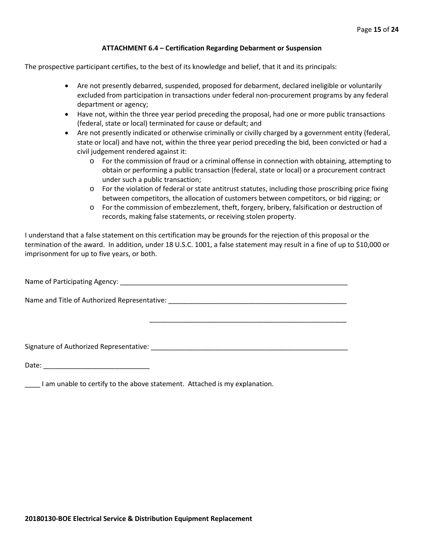#### **ATTACHMENT 6.4 – Certification Regarding Debarment or Suspension**

The prospective participant certifies, to the best of its knowledge and belief, that it and its principals:

- Are not presently debarred, suspended, proposed for debarment, declared ineligible or voluntarily excluded from participation in transactions under federal non-procurement programs by any federal department or agency;
- Have not, within the three year period preceding the proposal, had one or more public transactions (federal, state or local) terminated for cause or default; and
- Are not presently indicated or otherwise criminally or civilly charged by a government entity (federal, state or local) and have not, within the three year period preceding the bid, been convicted or had a civil judgement rendered against it:
	- $\circ$  For the commission of fraud or a criminal offense in connection with obtaining, attempting to obtain or performing a public transaction (federal, state or local) or a procurement contract under such a public transaction;
	- o For the violation of federal or state antitrust statutes, including those proscribing price fixing between competitors, the allocation of customers between competitors, or bid rigging; or
	- o For the commission of embezzlement, theft, forgery, bribery, falsification or destruction of records, making false statements, or receiving stolen property.

\_\_\_\_\_\_\_\_\_\_\_\_\_\_\_\_\_\_\_\_\_\_\_\_\_\_\_\_\_\_\_\_\_\_\_\_\_\_\_\_\_\_\_\_\_\_\_\_\_\_\_\_

I understand that a false statement on this certification may be grounds for the rejection of this proposal or the termination of the award. In addition, under 18 U.S.C. 1001, a false statement may result in a fine of up to \$10,000 or imprisonment for up to five years, or both.

Name of Participating Agency: \_\_\_\_\_\_\_\_\_\_\_\_\_\_\_\_\_\_\_\_\_\_\_\_\_\_\_\_\_\_\_\_\_\_\_\_\_\_\_\_\_\_\_\_\_\_\_\_\_\_\_\_\_\_\_\_\_\_\_\_

Name and Title of Authorized Representative: \_\_\_\_\_\_\_\_\_\_\_\_\_\_\_\_\_\_\_\_\_\_\_\_\_\_\_\_\_\_\_\_\_\_\_\_\_\_\_\_\_\_\_\_\_\_\_

Signature of Authorized Representative: \_\_\_\_\_\_\_\_\_\_\_\_\_\_\_\_\_\_\_\_\_\_\_\_\_\_\_\_\_\_\_\_\_\_\_\_\_\_\_\_\_\_\_\_\_\_\_\_\_\_\_\_

Date: \_\_\_\_\_\_\_\_\_\_\_\_\_\_\_\_\_\_\_\_\_\_\_\_\_\_\_\_

\_\_\_\_ I am unable to certify to the above statement. Attached is my explanation.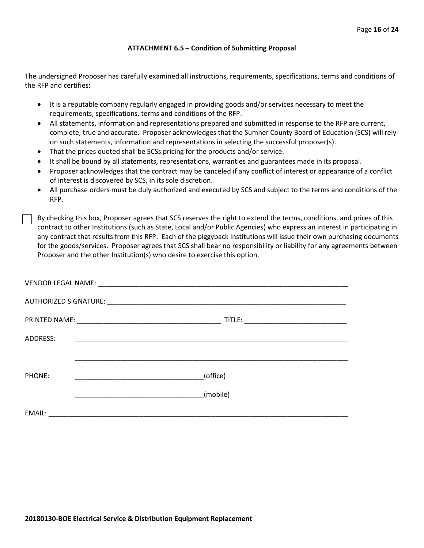#### **ATTACHMENT 6.5 – Condition of Submitting Proposal**

The undersigned Proposer has carefully examined all instructions, requirements, specifications, terms and conditions of the RFP and certifies:

- It is a reputable company regularly engaged in providing goods and/or services necessary to meet the requirements, specifications, terms and conditions of the RFP.
- All statements, information and representations prepared and submitted in response to the RFP are current, complete, true and accurate. Proposer acknowledges that the Sumner County Board of Education (SCS) will rely on such statements, information and representations in selecting the successful proposer(s).
- That the prices quoted shall be SCSs pricing for the products and/or service.
- It shall be bound by all statements, representations, warranties and guarantees made in its proposal.
- Proposer acknowledges that the contract may be canceled if any conflict of interest or appearance of a conflict of interest is discovered by SCS, in its sole discretion.
- All purchase orders must be duly authorized and executed by SCS and subject to the terms and conditions of the RFP.

By checking this box, Proposer agrees that SCS reserves the right to extend the terms, conditions, and prices of this contract to other Institutions (such as State, Local and/or Public Agencies) who express an interest in participating in any contract that results from this RFP. Each of the piggyback Institutions will issue their own purchasing documents for the goods/services. Proposer agrees that SCS shall bear no responsibility or liability for any agreements between Proposer and the other Institution(s) who desire to exercise this option.

| ADDRESS: | <u> 1990 - Johann John Stone, markin film yn y brening yn y brening yn y brening yn y brening yn y brening yn y b</u> |          |  |
|----------|-----------------------------------------------------------------------------------------------------------------------|----------|--|
|          |                                                                                                                       |          |  |
| PHONE:   |                                                                                                                       | (office) |  |
|          |                                                                                                                       | (mobile) |  |
| EMAIL:   |                                                                                                                       |          |  |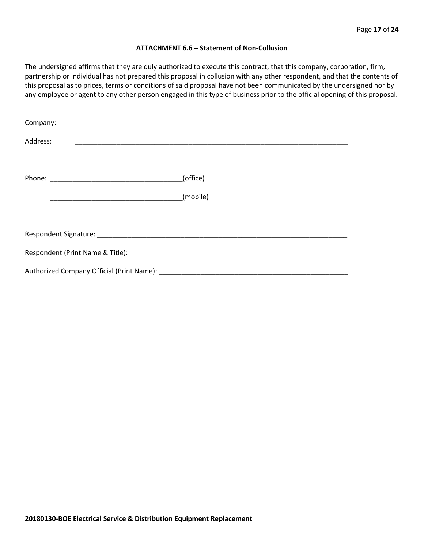#### **ATTACHMENT 6.6 – Statement of Non-Collusion**

The undersigned affirms that they are duly authorized to execute this contract, that this company, corporation, firm, partnership or individual has not prepared this proposal in collusion with any other respondent, and that the contents of this proposal as to prices, terms or conditions of said proposal have not been communicated by the undersigned nor by any employee or agent to any other person engaged in this type of business prior to the official opening of this proposal.

| Address: |          |
|----------|----------|
|          | (office) |
|          |          |
|          |          |
|          |          |
|          |          |
|          |          |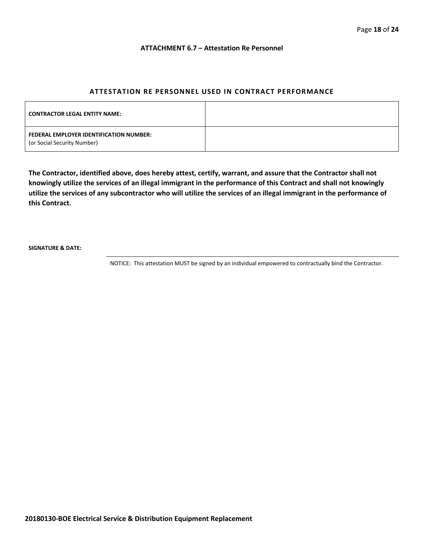#### **ATTACHMENT 6.7 – Attestation Re Personnel**

#### **ATTESTATION RE PERSONNEL USED IN CONTRACT PERFORMANCE**

| <b>CONTRACTOR LEGAL ENTITY NAME:</b>                                   |  |
|------------------------------------------------------------------------|--|
| FEDERAL EMPLOYER IDENTIFICATION NUMBER:<br>(or Social Security Number) |  |

**The Contractor, identified above, does hereby attest, certify, warrant, and assure that the Contractor shall not knowingly utilize the services of an illegal immigrant in the performance of this Contract and shall not knowingly utilize the services of any subcontractor who will utilize the services of an illegal immigrant in the performance of this Contract.**

**SIGNATURE & DATE:**

NOTICE: This attestation MUST be signed by an individual empowered to contractually bind the Contractor.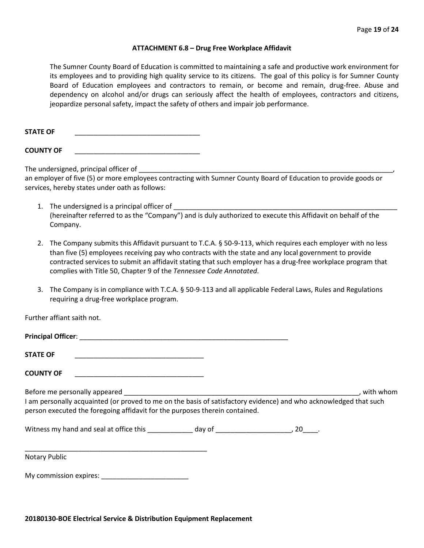#### **ATTACHMENT 6.8 – Drug Free Workplace Affidavit**

The Sumner County Board of Education is committed to maintaining a safe and productive work environment for its employees and to providing high quality service to its citizens. The goal of this policy is for Sumner County Board of Education employees and contractors to remain, or become and remain, drug-free. Abuse and dependency on alcohol and/or drugs can seriously affect the health of employees, contractors and citizens, jeopardize personal safety, impact the safety of others and impair job performance.

STATE OF

**COUNTY OF** \_\_\_\_\_\_\_\_\_\_\_\_\_\_\_\_\_\_\_\_\_\_\_\_\_\_\_\_\_\_\_\_\_

The undersigned, principal officer of

an employer of five (5) or more employees contracting with Sumner County Board of Education to provide goods or services, hereby states under oath as follows:

- 1. The undersigned is a principal officer of (hereinafter referred to as the "Company") and is duly authorized to execute this Affidavit on behalf of the Company.
- 2. The Company submits this Affidavit pursuant to T.C.A. § 50-9-113, which requires each employer with no less than five (5) employees receiving pay who contracts with the state and any local government to provide contracted services to submit an affidavit stating that such employer has a drug-free workplace program that complies with Title 50, Chapter 9 of the *Tennessee Code Annotated*.
- 3. The Company is in compliance with T.C.A. § 50-9-113 and all applicable Federal Laws, Rules and Regulations requiring a drug-free workplace program.

Further affiant saith not.

| <b>STATE OF</b><br><u> 1989 - Johann John Stein, markin film yn y system yn y system yn y system yn y system yn y system yn y system</u>                                                                                                                                                                           |  |           |
|--------------------------------------------------------------------------------------------------------------------------------------------------------------------------------------------------------------------------------------------------------------------------------------------------------------------|--|-----------|
| <b>COUNTY OF</b>                                                                                                                                                                                                                                                                                                   |  |           |
| Before me personally appeared and the state of the state of the state of the state of the state of the state o<br>I am personally acquainted (or proved to me on the basis of satisfactory evidence) and who acknowledged that such<br>person executed the foregoing affidavit for the purposes therein contained. |  | with whom |
|                                                                                                                                                                                                                                                                                                                    |  |           |
| Notary Public                                                                                                                                                                                                                                                                                                      |  |           |
| My commission expires: My commission expires:                                                                                                                                                                                                                                                                      |  |           |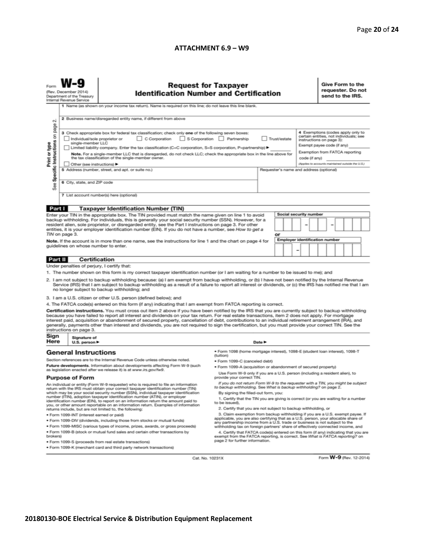#### **ATTACHMENT 6.9 – W9**

| <b>Request for Taxpayer</b><br>(Rev. December 2014)<br><b>Identification Number and Certification</b><br>Department of the Treasury<br>Internal Revenue Service                                                                                                                                                                                                                                                                                                                                                                                                                                                                                                                                                                                                                                                                                                                                                                                                                                                                                                                                                                                                                                                                                                                                                                                                                                                                                                                                                                                                                                                                                                                                                                                                                                                                                                                                                                                                                                                                                                                                                                                                                                                                                                                                                                                                                                                                                                                        |                                                                                                                                                                                                                                                                                                                            |                                                                                                                                                                                                                                                                                                                                  |  |                                         | Give Form to the<br>requester. Do not<br>send to the IRS.                                                                                                                               |                        |  |  |  |  |                         |
|----------------------------------------------------------------------------------------------------------------------------------------------------------------------------------------------------------------------------------------------------------------------------------------------------------------------------------------------------------------------------------------------------------------------------------------------------------------------------------------------------------------------------------------------------------------------------------------------------------------------------------------------------------------------------------------------------------------------------------------------------------------------------------------------------------------------------------------------------------------------------------------------------------------------------------------------------------------------------------------------------------------------------------------------------------------------------------------------------------------------------------------------------------------------------------------------------------------------------------------------------------------------------------------------------------------------------------------------------------------------------------------------------------------------------------------------------------------------------------------------------------------------------------------------------------------------------------------------------------------------------------------------------------------------------------------------------------------------------------------------------------------------------------------------------------------------------------------------------------------------------------------------------------------------------------------------------------------------------------------------------------------------------------------------------------------------------------------------------------------------------------------------------------------------------------------------------------------------------------------------------------------------------------------------------------------------------------------------------------------------------------------------------------------------------------------------------------------------------------------|----------------------------------------------------------------------------------------------------------------------------------------------------------------------------------------------------------------------------------------------------------------------------------------------------------------------------|----------------------------------------------------------------------------------------------------------------------------------------------------------------------------------------------------------------------------------------------------------------------------------------------------------------------------------|--|-----------------------------------------|-----------------------------------------------------------------------------------------------------------------------------------------------------------------------------------------|------------------------|--|--|--|--|-------------------------|
| σû<br>page                                                                                                                                                                                                                                                                                                                                                                                                                                                                                                                                                                                                                                                                                                                                                                                                                                                                                                                                                                                                                                                                                                                                                                                                                                                                                                                                                                                                                                                                                                                                                                                                                                                                                                                                                                                                                                                                                                                                                                                                                                                                                                                                                                                                                                                                                                                                                                                                                                                                             | 1 Name (as shown on your income tax return). Name is required on this line; do not leave this line blank.<br>2 Business name/disregarded entity name, if different from above<br>4 Exemptions (codes apply only to<br>3 Check appropriate box for federal tax classification; check only one of the following seven boxes: |                                                                                                                                                                                                                                                                                                                                  |  |                                         |                                                                                                                                                                                         |                        |  |  |  |  |                         |
| Specific Instructions on<br>C Corporation<br>S Corporation Partnership<br>Individual/sole proprietor or<br>Trust/estate<br>Print or type<br>single-member LLC<br>Limited liability company. Enter the tax classification (C=C corporation, S=S corporation, P=partnership) ▶<br>Note. For a single-member LLC that is disregarded, do not check LLC; check the appropriate box in the line above for<br>the tax classification of the single-member owner.<br>code (if any)                                                                                                                                                                                                                                                                                                                                                                                                                                                                                                                                                                                                                                                                                                                                                                                                                                                                                                                                                                                                                                                                                                                                                                                                                                                                                                                                                                                                                                                                                                                                                                                                                                                                                                                                                                                                                                                                                                                                                                                                            |                                                                                                                                                                                                                                                                                                                            |                                                                                                                                                                                                                                                                                                                                  |  |                                         | certain entities, not individuals; see<br>instructions on page 3):<br>Exempt payee code (if any)<br>Exemption from FATCA reporting<br>(Applies to accounts maintained outside the U.S.) |                        |  |  |  |  |                         |
| See                                                                                                                                                                                                                                                                                                                                                                                                                                                                                                                                                                                                                                                                                                                                                                                                                                                                                                                                                                                                                                                                                                                                                                                                                                                                                                                                                                                                                                                                                                                                                                                                                                                                                                                                                                                                                                                                                                                                                                                                                                                                                                                                                                                                                                                                                                                                                                                                                                                                                    | Other (see instructions) ▶<br>6 City, state, and ZIP code                                                                                                                                                                                                                                                                  | 5 Address (number, street, and apt. or suite no.)<br>7 List account number(s) here (optional)                                                                                                                                                                                                                                    |  | Requester's name and address (optional) |                                                                                                                                                                                         |                        |  |  |  |  |                         |
| Part I                                                                                                                                                                                                                                                                                                                                                                                                                                                                                                                                                                                                                                                                                                                                                                                                                                                                                                                                                                                                                                                                                                                                                                                                                                                                                                                                                                                                                                                                                                                                                                                                                                                                                                                                                                                                                                                                                                                                                                                                                                                                                                                                                                                                                                                                                                                                                                                                                                                                                 |                                                                                                                                                                                                                                                                                                                            | <b>Taxpayer Identification Number (TIN)</b><br>Enter your TIN in the appropriate box. The TIN provided must match the name given on line 1 to avoid                                                                                                                                                                              |  |                                         |                                                                                                                                                                                         | Social security number |  |  |  |  |                         |
|                                                                                                                                                                                                                                                                                                                                                                                                                                                                                                                                                                                                                                                                                                                                                                                                                                                                                                                                                                                                                                                                                                                                                                                                                                                                                                                                                                                                                                                                                                                                                                                                                                                                                                                                                                                                                                                                                                                                                                                                                                                                                                                                                                                                                                                                                                                                                                                                                                                                                        | TIN on page 3.                                                                                                                                                                                                                                                                                                             | backup withholding. For individuals, this is generally your social security number (SSN). However, for a<br>resident alien, sole proprietor, or disregarded entity, see the Part I instructions on page 3. For other<br>entities, it is your employer identification number (EIN). If you do not have a number, see How to get a |  |                                         | or                                                                                                                                                                                      |                        |  |  |  |  |                         |
|                                                                                                                                                                                                                                                                                                                                                                                                                                                                                                                                                                                                                                                                                                                                                                                                                                                                                                                                                                                                                                                                                                                                                                                                                                                                                                                                                                                                                                                                                                                                                                                                                                                                                                                                                                                                                                                                                                                                                                                                                                                                                                                                                                                                                                                                                                                                                                                                                                                                                        | <b>Employer identification number</b><br>Note. If the account is in more than one name, see the instructions for line 1 and the chart on page 4 for<br>guidelines on whose number to enter.                                                                                                                                |                                                                                                                                                                                                                                                                                                                                  |  |                                         |                                                                                                                                                                                         |                        |  |  |  |  |                         |
| Under penalties of perjury, I certify that:<br>1. The number shown on this form is my correct taxpayer identification number (or I am waiting for a number to be issued to me); and<br>2. I am not subject to backup withholding because: (a) I am exempt from backup withholding, or (b) I have not been notified by the Internal Revenue<br>Service (IRS) that I am subject to backup withholding as a result of a failure to report all interest or dividends, or (c) the IRS has notified me that I am<br>no longer subject to backup withholding; and<br>3. I am a U.S. citizen or other U.S. person (defined below); and<br>4. The FATCA code(s) entered on this form (if any) indicating that I am exempt from FATCA reporting is correct.<br>Certification instructions. You must cross out item 2 above if you have been notified by the IRS that you are currently subject to backup withholding<br>because you have failed to report all interest and dividends on your tax return. For real estate transactions, item 2 does not apply. For mortgage<br>interest paid, acquisition or abandonment of secured property, cancellation of debt, contributions to an individual retirement arrangement (IRA), and<br>generally, payments other than interest and dividends, you are not required to sign the certification, but you must provide your correct TIN. See the<br>instructions on page 3.                                                                                                                                                                                                                                                                                                                                                                                                                                                                                                                                                                                                                                                                                                                                                                                                                                                                                                                                                                                                                                                                          |                                                                                                                                                                                                                                                                                                                            |                                                                                                                                                                                                                                                                                                                                  |  |                                         |                                                                                                                                                                                         |                        |  |  |  |  |                         |
| Sign<br>Here                                                                                                                                                                                                                                                                                                                                                                                                                                                                                                                                                                                                                                                                                                                                                                                                                                                                                                                                                                                                                                                                                                                                                                                                                                                                                                                                                                                                                                                                                                                                                                                                                                                                                                                                                                                                                                                                                                                                                                                                                                                                                                                                                                                                                                                                                                                                                                                                                                                                           | Signature of<br>U.S. person $\blacktriangleright$                                                                                                                                                                                                                                                                          |                                                                                                                                                                                                                                                                                                                                  |  | Date P                                  |                                                                                                                                                                                         |                        |  |  |  |  |                         |
| · Form 1098 (home mortgage interest), 1098-E (student loan interest), 1098-T<br><b>General Instructions</b><br>(tuition)<br>Section references are to the Internal Revenue Code unless otherwise noted.<br>• Form 1099-C (canceled debt)<br>Future developments. Information about developments affecting Form W-9 (such<br>. Form 1099-A (acquisition or abandonment of secured property)<br>as legislation enacted after we release it) is at www.irs.gov/fw9.<br>Use Form W-9 only if you are a U.S. person (including a resident alien), to<br><b>Purpose of Form</b><br>provide your correct TIN.<br>If you do not return Form W-9 to the requester with a TIN, you might be subject<br>An individual or entity (Form W-9 requester) who is required to file an information<br>to backup withholding. See What is backup withholding? on page 2.<br>return with the IRS must obtain your correct taxpayer identification number (TIN)<br>which may be your social security number (SSN), individual taxpayer identification<br>By signing the filled-out form, you:<br>number (ITIN), adoption taxpayer identification number (ATIN), or employer<br>1. Certify that the TIN you are giving is correct (or you are waiting for a number<br>identification number (EIN), to report on an information return the amount paid to<br>to be issued).<br>you, or other amount reportable on an information return. Examples of information<br>2. Certify that you are not subject to backup withholding, or<br>returns include, but are not limited to, the following:<br>3. Claim exemption from backup withholding if you are a U.S. exempt payee. If<br>· Form 1099-INT (interest earned or paid)<br>applicable, you are also certifying that as a U.S. person, your allocable share of<br>. Form 1099-DIV (dividends, including those from stocks or mutual funds)<br>any partnership income from a U.S. trade or business is not subject to the<br>. Form 1099-MISC (various types of income, prizes, awards, or gross proceeds)<br>withholding tax on foreign partners' share of effectively connected income, and<br>. Form 1099-B (stock or mutual fund sales and certain other transactions by<br>4. Certify that FATCA code(s) entered on this form (if any) indicating that you are<br>brokers)<br>exempt from the FATCA reporting, is correct. See What is FATCA reporting? on<br>page 2 for further information.<br>· Form 1099-S (proceeds from real estate transactions) |                                                                                                                                                                                                                                                                                                                            |                                                                                                                                                                                                                                                                                                                                  |  |                                         |                                                                                                                                                                                         |                        |  |  |  |  |                         |
|                                                                                                                                                                                                                                                                                                                                                                                                                                                                                                                                                                                                                                                                                                                                                                                                                                                                                                                                                                                                                                                                                                                                                                                                                                                                                                                                                                                                                                                                                                                                                                                                                                                                                                                                                                                                                                                                                                                                                                                                                                                                                                                                                                                                                                                                                                                                                                                                                                                                                        |                                                                                                                                                                                                                                                                                                                            | ● Form 1099-K (merchant card and third party network transactions)<br>Cat. No. 10231X                                                                                                                                                                                                                                            |  |                                         |                                                                                                                                                                                         |                        |  |  |  |  | Form W-9 (Rev. 12-2014) |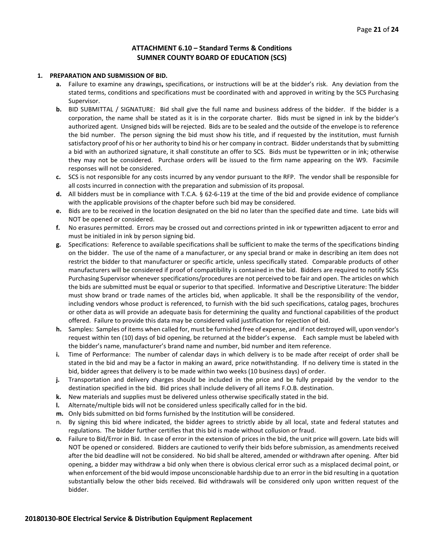#### **ATTACHMENT 6.10 – Standard Terms & Conditions SUMNER COUNTY BOARD OF EDUCATION (SCS)**

#### **1. PREPARATION AND SUBMISSION OF BID.**

- **a.** Failure to examine any drawings**,** specifications, or instructions will be at the bidder's risk. Any deviation from the stated terms, conditions and specifications must be coordinated with and approved in writing by the SCS Purchasing Supervisor.
- **b.** BID SUBMITTAL / SIGNATURE: Bid shall give the full name and business address of the bidder. If the bidder is a corporation, the name shall be stated as it is in the corporate charter. Bids must be signed in ink by the bidder's authorized agent. Unsigned bids will be rejected. Bids are to be sealed and the outside of the envelope is to reference the bid number. The person signing the bid must show his title, and if requested by the institution, must furnish satisfactory proof of his or her authority to bind his or her company in contract. Bidder understands that by submitting a bid with an authorized signature, it shall constitute an offer to SCS. Bids must be typewritten or in ink; otherwise they may not be considered. Purchase orders will be issued to the firm name appearing on the W9. Facsimile responses will not be considered.
- **c.** SCS is not responsible for any costs incurred by any vendor pursuant to the RFP. The vendor shall be responsible for all costs incurred in connection with the preparation and submission of its proposal.
- **d.** All bidders must be in compliance with T.C.A. § 62-6-119 at the time of the bid and provide evidence of compliance with the applicable provisions of the chapter before such bid may be considered.
- **e.** Bids are to be received in the location designated on the bid no later than the specified date and time. Late bids will NOT be opened or considered.
- **f.** No erasures permitted. Errors may be crossed out and corrections printed in ink or typewritten adjacent to error and must be initialed in ink by person signing bid.
- **g.** Specifications: Reference to available specifications shall be sufficient to make the terms of the specifications binding on the bidder. The use of the name of a manufacturer, or any special brand or make in describing an item does not restrict the bidder to that manufacturer or specific article, unless specifically stated. Comparable products of other manufacturers will be considered if proof of compatibility is contained in the bid. Bidders are required to notify SCSs Purchasing Supervisor whenever specifications/procedures are not perceived to be fair and open. The articles on which the bids are submitted must be equal or superior to that specified. Informative and Descriptive Literature: The bidder must show brand or trade names of the articles bid, when applicable. It shall be the responsibility of the vendor, including vendors whose product is referenced, to furnish with the bid such specifications, catalog pages, brochures or other data as will provide an adequate basis for determining the quality and functional capabilities of the product offered. Failure to provide this data may be considered valid justification for rejection of bid.
- **h.** Samples: Samples of items when called for, must be furnished free of expense, and if not destroyed will, upon vendor's request within ten (10) days of bid opening, be returned at the bidder's expense. Each sample must be labeled with the bidder's name, manufacturer's brand name and number, bid number and item reference.
- **i.** Time of Performance: The number of calendar days in which delivery is to be made after receipt of order shall be stated in the bid and may be a factor in making an award, price notwithstanding. If no delivery time is stated in the bid, bidder agrees that delivery is to be made within two weeks (10 business days) of order.
- **j.** Transportation and delivery charges should be included in the price and be fully prepaid by the vendor to the destination specified in the bid. Bid prices shall include delivery of all items F.O.B. destination.
- **k.** New materials and supplies must be delivered unless otherwise specifically stated in the bid.
- **l.** Alternate/multiple bids will not be considered unless specifically called for in the bid.
- **m.** Only bids submitted on bid forms furnished by the Institution will be considered.
- n. By signing this bid where indicated, the bidder agrees to strictly abide by all local, state and federal statutes and regulations. The bidder further certifies that this bid is made without collusion or fraud.
- **o.** Failure to Bid/Error in Bid. In case of error in the extension of prices in the bid, the unit price will govern. Late bids will NOT be opened or considered. Bidders are cautioned to verify their bids before submission, as amendments received after the bid deadline will not be considered. No bid shall be altered, amended or withdrawn after opening. After bid opening, a bidder may withdraw a bid only when there is obvious clerical error such as a misplaced decimal point, or when enforcement of the bid would impose unconscionable hardship due to an error in the bid resulting in a quotation substantially below the other bids received. Bid withdrawals will be considered only upon written request of the bidder.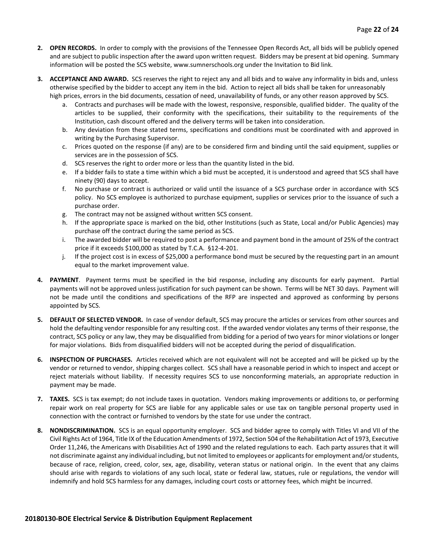- **2. OPEN RECORDS.** In order to comply with the provisions of the Tennessee Open Records Act, all bids will be publicly opened and are subject to public inspection after the award upon written request. Bidders may be present at bid opening. Summary information will be posted the SCS website, www.sumnerschools.org under the Invitation to Bid link.
- **3. ACCEPTANCE AND AWARD.** SCS reserves the right to reject any and all bids and to waive any informality in bids and, unless otherwise specified by the bidder to accept any item in the bid. Action to reject all bids shall be taken for unreasonably high prices, errors in the bid documents, cessation of need, unavailability of funds, or any other reason approved by SCS.
	- a. Contracts and purchases will be made with the lowest, responsive, responsible, qualified bidder. The quality of the articles to be supplied, their conformity with the specifications, their suitability to the requirements of the Institution, cash discount offered and the delivery terms will be taken into consideration.
	- b. Any deviation from these stated terms, specifications and conditions must be coordinated with and approved in writing by the Purchasing Supervisor.
	- c. Prices quoted on the response (if any) are to be considered firm and binding until the said equipment, supplies or services are in the possession of SCS.
	- d. SCS reserves the right to order more or less than the quantity listed in the bid.
	- e. If a bidder fails to state a time within which a bid must be accepted, it is understood and agreed that SCS shall have ninety (90) days to accept.
	- f. No purchase or contract is authorized or valid until the issuance of a SCS purchase order in accordance with SCS policy. No SCS employee is authorized to purchase equipment, supplies or services prior to the issuance of such a purchase order.
	- g. The contract may not be assigned without written SCS consent.
	- h. If the appropriate space is marked on the bid, other Institutions (such as State, Local and/or Public Agencies) may purchase off the contract during the same period as SCS.
	- i. The awarded bidder will be required to post a performance and payment bond in the amount of 25% of the contract price if it exceeds \$100,000 as stated by T.C.A. §12-4-201.
	- j. If the project cost is in excess of \$25,000 a performance bond must be secured by the requesting part in an amount equal to the market improvement value.
- **4. PAYMENT**. Payment terms must be specified in the bid response, including any discounts for early payment. Partial payments will not be approved unless justification for such payment can be shown. Terms will be NET 30 days. Payment will not be made until the conditions and specifications of the RFP are inspected and approved as conforming by persons appointed by SCS.
- **5. DEFAULT OF SELECTED VENDOR.** In case of vendor default, SCS may procure the articles or services from other sources and hold the defaulting vendor responsible for any resulting cost. If the awarded vendor violates any terms of their response, the contract, SCS policy or any law, they may be disqualified from bidding for a period of two years for minor violations or longer for major violations. Bids from disqualified bidders will not be accepted during the period of disqualification.
- **6. INSPECTION OF PURCHASES.** Articles received which are not equivalent will not be accepted and will be picked up by the vendor or returned to vendor, shipping charges collect. SCS shall have a reasonable period in which to inspect and accept or reject materials without liability. If necessity requires SCS to use nonconforming materials, an appropriate reduction in payment may be made.
- **7. TAXES.** SCS is tax exempt; do not include taxes in quotation. Vendors making improvements or additions to, or performing repair work on real property for SCS are liable for any applicable sales or use tax on tangible personal property used in connection with the contract or furnished to vendors by the state for use under the contract.
- **8. NONDISCRIMINATION.** SCS is an equal opportunity employer. SCS and bidder agree to comply with Titles VI and VII of the Civil Rights Act of 1964, Title IX of the Education Amendments of 1972, Section 504 of the Rehabilitation Act of 1973, Executive Order 11,246, the Americans with Disabilities Act of 1990 and the related regulations to each. Each party assures that it will not discriminate against any individual including, but not limited to employees or applicants for employment and/or students, because of race, religion, creed, color, sex, age, disability, veteran status or national origin. In the event that any claims should arise with regards to violations of any such local, state or federal law, statues, rule or regulations, the vendor will indemnify and hold SCS harmless for any damages, including court costs or attorney fees, which might be incurred.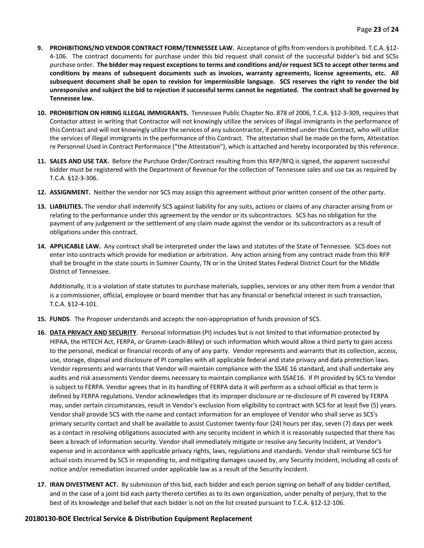- **9. PROHIBITIONS/NO VENDOR CONTRACT FORM/TENNESSEE LAW.** Acceptance of gifts from vendors is prohibited. T.C.A. §12- 4-106. The contract documents for purchase under this bid request shall consist of the successful bidder's bid and SCSs purchase order. **The bidder may request exceptions to terms and conditions and/or request SCS to accept other terms and conditions by means of subsequent documents such as invoices, warranty agreements, license agreements, etc. All subsequent document shall be open to revision for impermissible language. SCS reserves the right to render the bid unresponsive and subject the bid to rejection if successful terms cannot be negotiated. The contract shall be governed by Tennessee law.**
- **10. PROHIBITION ON HIRING ILLEGAL IMMIGRANTS.** Tennessee Public Chapter No. 878 of 2006, T.C.A. §12-3-309, requires that Contactor attest in writing that Contractor will not knowingly utilize the services of illegal immigrants in the performance of this Contract and will not knowingly utilize the services of any subcontractor, if permitted under this Contract, who will utilize the services of illegal immigrants in the performance of this Contract. The attestation shall be made on the form, Attestation re Personnel Used in Contract Performance ("the Attestation"), which is attached and hereby incorporated by this reference.
- **11. SALES AND USE TAX.** Before the Purchase Order/Contract resulting from this RFP/RFQ is signed, the apparent successful bidder must be registered with the Department of Revenue for the collection of Tennessee sales and use tax as required by T.C.A. §12-3-306.
- **12. ASSIGNMENT.** Neither the vendor nor SCS may assign this agreement without prior written consent of the other party.
- **13. LIABILITIES.** The vendor shall indemnify SCS against liability for any suits, actions or claims of any character arising from or relating to the performance under this agreement by the vendor or its subcontractors. SCS has no obligation for the payment of any judgement or the settlement of any claim made against the vendor or its subcontractors as a result of obligations under this contract.
- **14. APPLICABLE LAW.** Any contract shall be interpreted under the laws and statutes of the State of Tennessee. SCS does not enter into contracts which provide for mediation or arbitration. Any action arising from any contract made from this RFP shall be brought in the state courts in Sumner County, TN or in the United States Federal District Court for the Middle District of Tennessee.

Additionally, it is a violation of state statutes to purchase materials, supplies, services or any other item from a vendor that is a commissioner, official, employee or board member that has any financial or beneficial interest in such transaction, T.C.A. §12-4-101.

- **15. FUNDS**. The Proposer understands and accepts the non-appropriation of funds provision of SCS.
- **16. DATA PRIVACY AND SECURITY**. Personal Information (PI) includes but is not limited to that information protected by HIPAA, the HITECH Act, FERPA, or Gramm-Leach-Bliley) or such information which would allow a third party to gain access to the personal, medical or financial records of any of any party. Vendor represents and warrants that its collection, access, use, storage, disposal and disclosure of PI complies with all applicable federal and state privacy and data protection laws. Vendor represents and warrants that Vendor will maintain compliance with the SSAE 16 standard, and shall undertake any audits and risk assessments Vendor deems necessary to maintain compliance with SSAE16. If PI provided by SCS to Vendor is subject to FERPA. Vendor agrees that in its handling of FERPA data it will perform as a school official as that term is defined by FERPA regulations. Vendor acknowledges that its improper disclosure or re-disclosure of PI covered by FERPA may, under certain circumstances, result in Vendor's exclusion from eligibility to contract with SCS for at least five (5) years. Vendor shall provide SCS with the name and contact information for an employee of Vendor who shall serve as SCS's primary security contact and shall be available to assist Customer twenty-four (24) hours per day, seven (7) days per week as a contact in resolving obligations associated with any security incident in which it is reasonably suspected that there has been a breach of information security. Vendor shall immediately mitigate or resolve any Security Incident, at Vendor's expense and in accordance with applicable privacy rights, laws, regulations and standards. Vendor shall reimburse SCS for actual costs incurred by SCS in responding to, and mitigating damages caused by, any Security Incident, including all costs of notice and/or remediation incurred under applicable law as a result of the Security Incident.
- **17. IRAN DIVESTMENT ACT.** By submission of this bid, each bidder and each person signing on behalf of any bidder certified, and in the case of a joint bid each party thereto certifies as to its own organization, under penalty of perjury, that to the best of its knowledge and belief that each bidder is not on the list created pursuant to T.C.A. §12-12-106.

#### **20180130-BOE Electrical Service & Distribution Equipment Replacement**